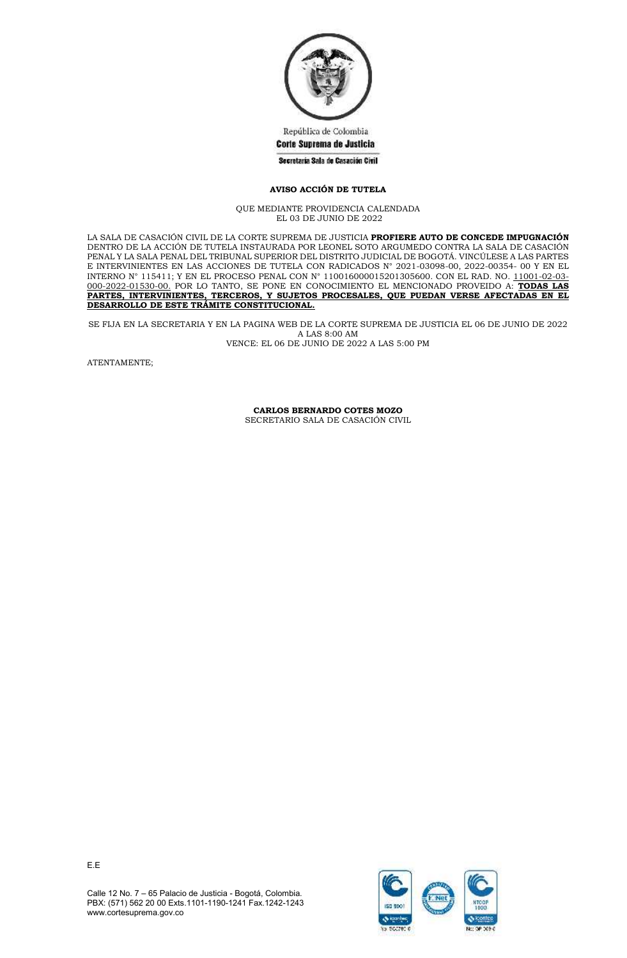

República de Colombia Corte Suprema de Justicia

## Secretaria Sala de Casación Civil

## **AVISO ACCIÓN DE TUTELA**

QUE MEDIANTE PROVIDENCIA CALENDADA EL 03 DE JUNIO DE 2022

LA SALA DE CASACIÓN CIVIL DE LA CORTE SUPREMA DE JUSTICIA **PROFIERE AUTO DE CONCEDE IMPUGNACIÓN** DENTRO DE LA ACCIÓN DE TUTELA INSTAURADA POR LEONEL SOTO ARGUMEDO CONTRA LA SALA DE CASACIÓN PENAL Y LA SALA PENAL DEL TRIBUNAL SUPERIOR DEL DISTRITO JUDICIAL DE BOGOTÁ. VINCÚLESE A LAS PARTES E INTERVINIENTES EN LAS ACCIONES DE TUTELA CON RADICADOS N° 2021-03098-00, 2022-00354- 00 Y EN EL INTERNO N° 115411; Y EN EL PROCESO PENAL CON N° 110016000015201305600. CON EL RAD. NO. 11001-02-03- 000-2022-01530-00. POR LO TANTO, SE PONE EN CONOCIMIENTO EL MENCIONADO PROVEIDO A: **TODAS LAS PARTES, INTERVINIENTES, TERCEROS, Y SUJETOS PROCESALES, QUE PUEDAN VERSE AFECTADAS EN EL DESARROLLO DE ESTE TRÁMITE CONSTITUCIONAL.**

SE FIJA EN LA SECRETARIA Y EN LA PAGINA WEB DE LA CORTE SUPREMA DE JUSTICIA EL 06 DE JUNIO DE 2022 A LAS 8:00 AM VENCE: EL 06 DE JUNIO DE 2022 A LAS 5:00 PM

ATENTAMENTE;

**CARLOS BERNARDO COTES MOZO** SECRETARIO SALA DE CASACIÓN CIVIL